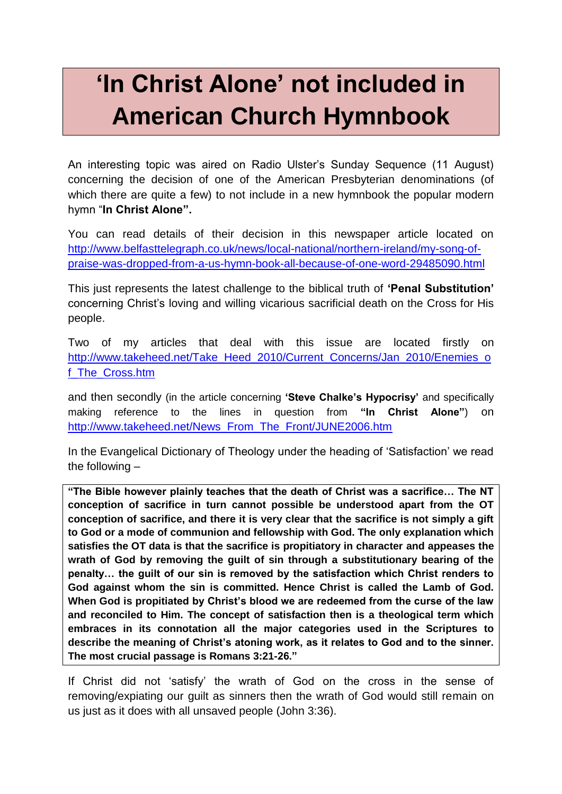## **'In Christ Alone' not included in American Church Hymnbook**

An interesting topic was aired on Radio Ulster's Sunday Sequence (11 August) concerning the decision of one of the American Presbyterian denominations (of which there are quite a few) to not include in a new hymnbook the popular modern hymn "**In Christ Alone".**

You can read details of their decision in this newspaper article located on [http://www.belfasttelegraph.co.uk/news/local-national/northern-ireland/my-song-of](http://www.belfasttelegraph.co.uk/news/local-national/northern-ireland/my-song-of-praise-was-dropped-from-a-us-hymn-book-all-because-of-one-word-29485090.html)[praise-was-dropped-from-a-us-hymn-book-all-because-of-one-word-29485090.html](http://www.belfasttelegraph.co.uk/news/local-national/northern-ireland/my-song-of-praise-was-dropped-from-a-us-hymn-book-all-because-of-one-word-29485090.html)

This just represents the latest challenge to the biblical truth of **'Penal Substitution'** concerning Christ's loving and willing vicarious sacrificial death on the Cross for His people.

Two of my articles that deal with this issue are located firstly on [http://www.takeheed.net/Take\\_Heed\\_2010/Current\\_Concerns/Jan\\_2010/Enemies\\_o](http://www.takeheed.net/Take_Heed_2010/Current_Concerns/Jan_2010/Enemies_of_The_Cross.htm) [f\\_The\\_Cross.htm](http://www.takeheed.net/Take_Heed_2010/Current_Concerns/Jan_2010/Enemies_of_The_Cross.htm)

and then secondly (in the article concerning **'Steve Chalke's Hypocrisy'** and specifically making reference to the lines in question from **"In Christ Alone"**) on [http://www.takeheed.net/News\\_From\\_The\\_Front/JUNE2006.htm](http://www.takeheed.net/News_From_The_Front/JUNE2006.htm)

In the Evangelical Dictionary of Theology under the heading of 'Satisfaction' we read the following –

**"The Bible however plainly teaches that the death of Christ was a sacrifice… The NT conception of sacrifice in turn cannot possible be understood apart from the OT conception of sacrifice, and there it is very clear that the sacrifice is not simply a gift to God or a mode of communion and fellowship with God. The only explanation which satisfies the OT data is that the sacrifice is propitiatory in character and appeases the wrath of God by removing the guilt of sin through a substitutionary bearing of the penalty… the guilt of our sin is removed by the satisfaction which Christ renders to God against whom the sin is committed. Hence Christ is called the Lamb of God. When God is propitiated by Christ's blood we are redeemed from the curse of the law and reconciled to Him. The concept of satisfaction then is a theological term which embraces in its connotation all the major categories used in the Scriptures to describe the meaning of Christ's atoning work, as it relates to God and to the sinner. The most crucial passage is Romans 3:21-26."** 

If Christ did not 'satisfy' the wrath of God on the cross in the sense of removing/expiating our guilt as sinners then the wrath of God would still remain on us just as it does with all unsaved people (John 3:36).